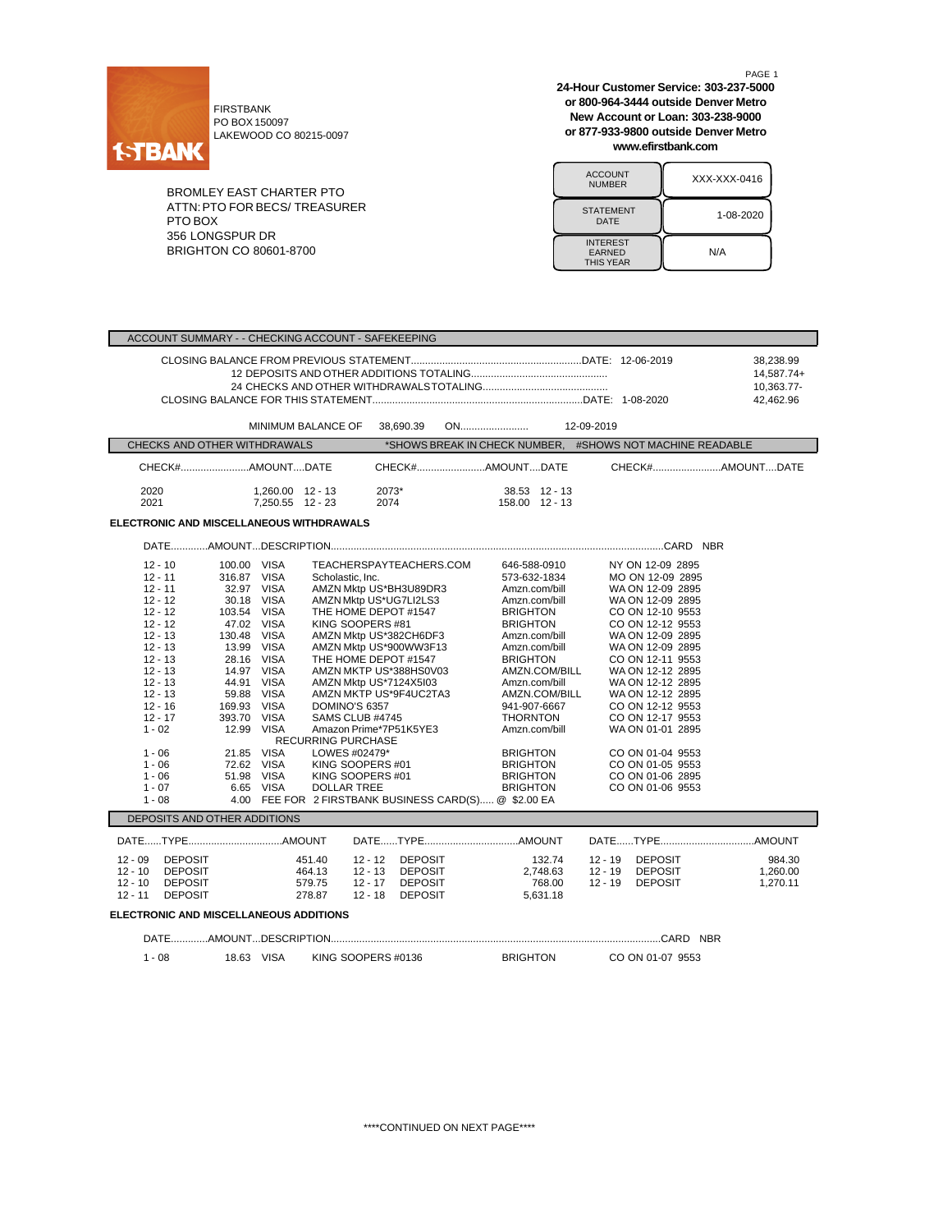

FIRSTBANK PO BOX 150097 LAKEWOOD CO 80215-0097

BROMLEY EAST CHARTER PTO ATTN:PTO FOR BECS/ TREASURER PTO BOX 356 LONGSPUR DR BRIGHTON CO 80601-8700

PAGE 1 **24-Hour Customer Service: 303-237-5000 or 800-964-3444 outside Denver Metro New Account or Loan: 303-238-9000 or 877-933-9800 outside Denver Metro www.efirstbank.com**

| <b>ACCOUNT</b><br><b>NUMBER</b>                      | XXX-XXX-0416 |
|------------------------------------------------------|--------------|
| <b>STATEMENT</b><br>DATE                             | 1-08-2020    |
| <b>INTEREST</b><br><b>EARNED</b><br><b>THIS YEAR</b> | N/A          |

| ACCOUNT SUMMARY - - CHECKING ACCOUNT - SAFEKEEPING                                                                                                                                                                                                         |                                                                                                                                  |                                                                                                                                         |                                                                                                |                                                                                                                                                                                                                                                                                                                                                                        |  |                                                                                                                                                                                                        |                                                                                                                                                                                      |                      |                                                                                                                                                                                                                                                                                                                                                                                          |                                |
|------------------------------------------------------------------------------------------------------------------------------------------------------------------------------------------------------------------------------------------------------------|----------------------------------------------------------------------------------------------------------------------------------|-----------------------------------------------------------------------------------------------------------------------------------------|------------------------------------------------------------------------------------------------|------------------------------------------------------------------------------------------------------------------------------------------------------------------------------------------------------------------------------------------------------------------------------------------------------------------------------------------------------------------------|--|--------------------------------------------------------------------------------------------------------------------------------------------------------------------------------------------------------|--------------------------------------------------------------------------------------------------------------------------------------------------------------------------------------|----------------------|------------------------------------------------------------------------------------------------------------------------------------------------------------------------------------------------------------------------------------------------------------------------------------------------------------------------------------------------------------------------------------------|--------------------------------|
|                                                                                                                                                                                                                                                            |                                                                                                                                  |                                                                                                                                         |                                                                                                |                                                                                                                                                                                                                                                                                                                                                                        |  | 38,238.99<br>14,587.74+<br>10,363.77-<br>42.462.96                                                                                                                                                     |                                                                                                                                                                                      |                      |                                                                                                                                                                                                                                                                                                                                                                                          |                                |
|                                                                                                                                                                                                                                                            |                                                                                                                                  |                                                                                                                                         | MINIMUM BALANCE OF 38,690.39                                                                   |                                                                                                                                                                                                                                                                                                                                                                        |  |                                                                                                                                                                                                        |                                                                                                                                                                                      |                      |                                                                                                                                                                                                                                                                                                                                                                                          |                                |
| CHECKS AND OTHER WITHDRAWALS                                                                                                                                                                                                                               |                                                                                                                                  |                                                                                                                                         |                                                                                                |                                                                                                                                                                                                                                                                                                                                                                        |  |                                                                                                                                                                                                        |                                                                                                                                                                                      |                      | *SHOWS BREAK IN CHECK NUMBER, #SHOWS NOT MACHINE READABLE                                                                                                                                                                                                                                                                                                                                |                                |
| CHECK#AMOUNTDATE                                                                                                                                                                                                                                           |                                                                                                                                  |                                                                                                                                         |                                                                                                |                                                                                                                                                                                                                                                                                                                                                                        |  | CHECK#AMOUNTDATE                                                                                                                                                                                       |                                                                                                                                                                                      |                      |                                                                                                                                                                                                                                                                                                                                                                                          | CHECK#AMOUNTDATE               |
| 2020<br>2021                                                                                                                                                                                                                                               |                                                                                                                                  | 1,260.00 12 - 13<br>7,250.55 12 - 23                                                                                                    |                                                                                                | 2073*<br>2074                                                                                                                                                                                                                                                                                                                                                          |  | 158.00 12 - 13                                                                                                                                                                                         | 38.53 12 - 13                                                                                                                                                                        |                      |                                                                                                                                                                                                                                                                                                                                                                                          |                                |
| ELECTRONIC AND MISCELLANEOUS WITHDRAWALS                                                                                                                                                                                                                   |                                                                                                                                  |                                                                                                                                         |                                                                                                |                                                                                                                                                                                                                                                                                                                                                                        |  |                                                                                                                                                                                                        |                                                                                                                                                                                      |                      |                                                                                                                                                                                                                                                                                                                                                                                          |                                |
|                                                                                                                                                                                                                                                            |                                                                                                                                  |                                                                                                                                         |                                                                                                |                                                                                                                                                                                                                                                                                                                                                                        |  |                                                                                                                                                                                                        |                                                                                                                                                                                      |                      |                                                                                                                                                                                                                                                                                                                                                                                          |                                |
| $12 - 10$<br>$12 - 11$<br>$12 - 11$<br>$12 - 12$<br>$12 - 12$<br>$12 - 12$<br>$12 - 13$<br>$12 - 13$<br>$12 - 13$<br>$12 - 13$<br>$12 - 13$<br>$12 - 13$<br>$12 - 16$<br>$12 - 17$<br>$1 - 02$<br>$1 - 06$<br>$1 - 06$<br>$1 - 06$<br>$1 - 07$<br>$1 - 08$ | 100.00 VISA<br>316.87 VISA<br>103.54 VISA<br>47.02 VISA<br>130.48 VISA<br>13.99 VISA<br>169.93 VISA<br>393.70 VISA<br>12.99 VISA | 32.97 VISA<br>30.18 VISA<br>28.16 VISA<br>14.97 VISA<br>44.91 VISA<br>59.88 VISA<br>21.85 VISA<br>72.62 VISA<br>51.98 VISA<br>6.65 VISA | Scholastic, Inc.<br>DOMINO'S 6357<br>RECURRING PURCHASE<br>LOWES #02479*<br><b>DOLLAR TREE</b> | TEACHERSPAYTEACHERS.COM<br>AMZN Mktp US*BH3U89DR3<br>AMZN Mktp US*UG7LI2LS3<br>THE HOME DEPOT #1547<br>KING SOOPERS #81<br>AMZN Mktp US*382CH6DF3<br>AMZN Mktp US*900WW3F13<br>THE HOME DEPOT #1547<br>AMZN MKTP US*388HS0V03<br>AMZN Mktp US*7124X5I03<br>AMZN MKTP US*9F4UC2TA3<br>SAMS CLUB #4745<br>Amazon Prime*7P51K5YE3<br>KING SOOPERS #01<br>KING SOOPERS #01 |  | <b>BRIGHTON</b><br><b>BRIGHTON</b><br><b>BRIGHTON</b><br>THORNTON<br><b>BRIGHTON</b><br><b>BRIGHTON</b><br><b>BRIGHTON</b><br><b>BRIGHTON</b><br>4.00 FEE FOR 2 FIRSTBANK BUSINESS CARD(S) @ \$2.00 EA | 646-588-0910<br>573-632-1834<br>Amzn.com/bill<br>Amzn.com/bill<br>Amzn.com/bill<br>Amzn.com/bill<br>AMZN.COM/BILL<br>Amzn.com/bill<br>AMZN.COM/BILL<br>941-907-6667<br>Amzn.com/bill |                      | NY ON 12-09 2895<br>MO ON 12-09 2895<br>WA ON 12-09 2895<br>WA ON 12-09 2895<br>CO ON 12-10 9553<br>CO ON 12-12 9553<br>WA ON 12-09 2895<br>WA ON 12-09 2895<br>CO ON 12-11 9553<br>WA ON 12-12 2895<br>WA ON 12-12 2895<br>WA ON 12-12 2895<br>CO ON 12-12 9553<br>CO ON 12-17 9553<br>WA ON 01-01 2895<br>CO ON 01-04 9553<br>CO ON 01-05 9553<br>CO ON 01-06 2895<br>CO ON 01-06 9553 |                                |
| DEPOSITS AND OTHER ADDITIONS                                                                                                                                                                                                                               |                                                                                                                                  |                                                                                                                                         |                                                                                                |                                                                                                                                                                                                                                                                                                                                                                        |  |                                                                                                                                                                                                        |                                                                                                                                                                                      |                      |                                                                                                                                                                                                                                                                                                                                                                                          |                                |
|                                                                                                                                                                                                                                                            |                                                                                                                                  |                                                                                                                                         |                                                                                                |                                                                                                                                                                                                                                                                                                                                                                        |  |                                                                                                                                                                                                        |                                                                                                                                                                                      |                      |                                                                                                                                                                                                                                                                                                                                                                                          |                                |
| <b>DEPOSIT</b><br>$12 - 09$<br>$12 - 10$<br><b>DEPOSIT</b><br><b>DEPOSIT</b><br>$12 - 10$<br><b>DEPOSIT</b><br>$12 - 11$<br>ELECTRONIC AND MISCELLANEOUS ADDITIONS                                                                                         |                                                                                                                                  |                                                                                                                                         | 451.40<br>464.13<br>579.75<br>278.87                                                           | 12 - 12 DEPOSIT<br>12 - 13 DEPOSIT<br>12 - 17 DEPOSIT<br>12 - 18 DEPOSIT                                                                                                                                                                                                                                                                                               |  |                                                                                                                                                                                                        | 132.74<br>2,748.63<br>768.00<br>5,631.18                                                                                                                                             | 12 - 19<br>$12 - 19$ | 12 - 19 DEPOSIT<br><b>DEPOSIT</b><br><b>DEPOSIT</b>                                                                                                                                                                                                                                                                                                                                      | 984.30<br>1,260.00<br>1,270.11 |
|                                                                                                                                                                                                                                                            |                                                                                                                                  |                                                                                                                                         |                                                                                                |                                                                                                                                                                                                                                                                                                                                                                        |  |                                                                                                                                                                                                        |                                                                                                                                                                                      |                      |                                                                                                                                                                                                                                                                                                                                                                                          |                                |
| $1 - 08$                                                                                                                                                                                                                                                   |                                                                                                                                  | 18.63 VISA                                                                                                                              |                                                                                                | KING SOOPERS #0136                                                                                                                                                                                                                                                                                                                                                     |  | <b>BRIGHTON</b>                                                                                                                                                                                        |                                                                                                                                                                                      |                      | CO ON 01-07 9553                                                                                                                                                                                                                                                                                                                                                                         |                                |

\*\*\*\*CONTINUED ON NEXT PAGE\*\*\*\*